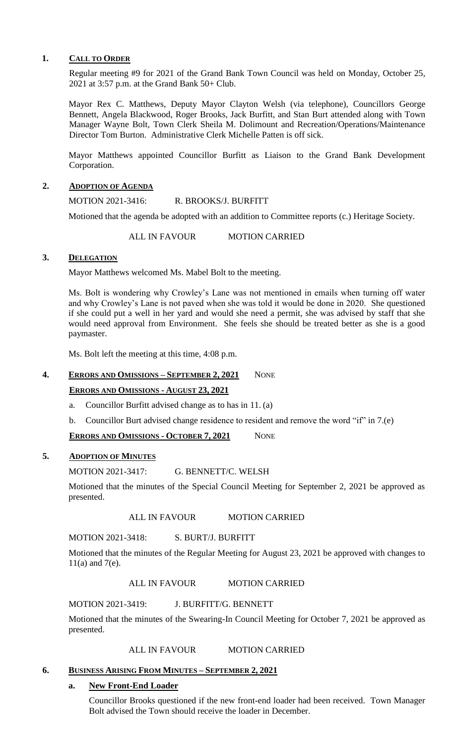#### **1. CALL TO ORDER**

Regular meeting #9 for 2021 of the Grand Bank Town Council was held on Monday, October 25, 2021 at 3:57 p.m. at the Grand Bank 50+ Club.

Mayor Rex C. Matthews, Deputy Mayor Clayton Welsh (via telephone), Councillors George Bennett, Angela Blackwood, Roger Brooks, Jack Burfitt, and Stan Burt attended along with Town Manager Wayne Bolt, Town Clerk Sheila M. Dolimount and Recreation/Operations/Maintenance Director Tom Burton. Administrative Clerk Michelle Patten is off sick.

Mayor Matthews appointed Councillor Burfitt as Liaison to the Grand Bank Development Corporation.

#### **2. ADOPTION OF AGENDA**

MOTION 2021-3416: R. BROOKS/J. BURFITT

Motioned that the agenda be adopted with an addition to Committee reports (c.) Heritage Society.

ALL IN FAVOUR MOTION CARRIED

### 3. **DELEGATION**

Mayor Matthews welcomed Ms. Mabel Bolt to the meeting.

Ms. Bolt is wondering why Crowley's Lane was not mentioned in emails when turning off water and why Crowley's Lane is not paved when she was told it would be done in 2020. She questioned if she could put a well in her yard and would she need a permit, she was advised by staff that she would need approval from Environment. She feels she should be treated better as she is a good paymaster.

Ms. Bolt left the meeting at this time, 4:08 p.m.

## **4. ERRORS AND OMISSIONS – SEPTEMBER 2, 2021** NONE

#### **ERRORS AND OMISSIONS - AUGUST 23, 2021**

- a. Councillor Burfitt advised change as to has in 11. (a)
- b. Councillor Burt advised change residence to resident and remove the word "if" in 7.(e)

#### **ERRORS AND OMISSIONS - OCTOBER 7, 2021** NONE

## **5. ADOPTION OF MINUTES**

MOTION 2021-3417: G. BENNETT/C. WELSH

Motioned that the minutes of the Special Council Meeting for September 2, 2021 be approved as presented.

ALL IN FAVOUR MOTION CARRIED

MOTION 2021-3418: S. BURT/J. BURFITT

Motioned that the minutes of the Regular Meeting for August 23, 2021 be approved with changes to 11(a) and 7(e).

ALL IN FAVOUR MOTION CARRIED

MOTION 2021-3419: J. BURFITT/G. BENNETT

Motioned that the minutes of the Swearing-In Council Meeting for October 7, 2021 be approved as presented.

ALL IN FAVOUR MOTION CARRIED

#### **6. BUSINESS ARISING FROM MINUTES – SEPTEMBER 2, 2021**

#### **a. New Front-End Loader**

Councillor Brooks questioned if the new front-end loader had been received. Town Manager Bolt advised the Town should receive the loader in December.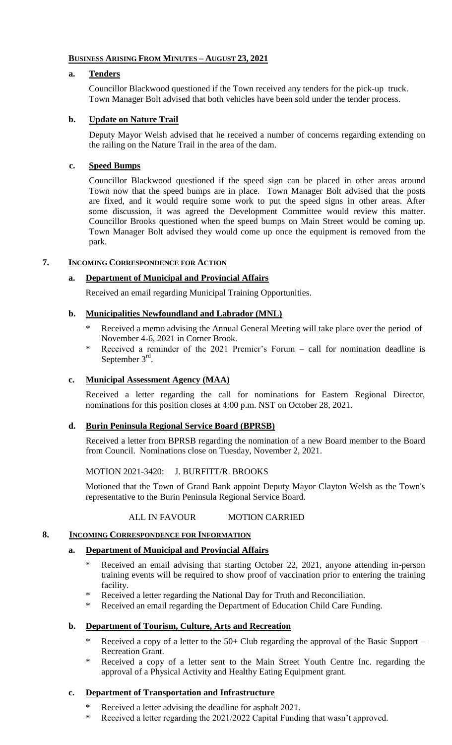## **BUSINESS ARISING FROM MINUTES – AUGUST 23, 2021**

## **a. Tenders**

Councillor Blackwood questioned if the Town received any tenders for the pick-up truck. Town Manager Bolt advised that both vehicles have been sold under the tender process.

## **b. Update on Nature Trail**

Deputy Mayor Welsh advised that he received a number of concerns regarding extending on the railing on the Nature Trail in the area of the dam.

## **c. Speed Bumps**

Councillor Blackwood questioned if the speed sign can be placed in other areas around Town now that the speed bumps are in place. Town Manager Bolt advised that the posts are fixed, and it would require some work to put the speed signs in other areas. After some discussion, it was agreed the Development Committee would review this matter. Councillor Brooks questioned when the speed bumps on Main Street would be coming up. Town Manager Bolt advised they would come up once the equipment is removed from the park.

# **7. INCOMING CORRESPONDENCE FOR ACTION**

## **a. Department of Municipal and Provincial Affairs**

Received an email regarding Municipal Training Opportunities.

## **b. Municipalities Newfoundland and Labrador (MNL)**

- Received a memo advising the Annual General Meeting will take place over the period of November 4-6, 2021 in Corner Brook.
- \* Received a reminder of the 2021 Premier's Forum call for nomination deadline is September 3<sup>rd</sup>.

#### **c. Municipal Assessment Agency (MAA)**

Received a letter regarding the call for nominations for Eastern Regional Director, nominations for this position closes at 4:00 p.m. NST on October 28, 2021.

## **d. Burin Peninsula Regional Service Board (BPRSB)**

Received a letter from BPRSB regarding the nomination of a new Board member to the Board from Council. Nominations close on Tuesday, November 2, 2021.

#### MOTION 2021-3420: J. BURFITT/R. BROOKS

Motioned that the Town of Grand Bank appoint Deputy Mayor Clayton Welsh as the Town's representative to the Burin Peninsula Regional Service Board.

### ALL IN FAVOUR MOTION CARRIED

#### **8. INCOMING CORRESPONDENCE FOR INFORMATION**

#### **a. Department of Municipal and Provincial Affairs**

- Received an email advising that starting October 22, 2021, anyone attending in-person training events will be required to show proof of vaccination prior to entering the training facility.
- \* Received a letter regarding the National Day for Truth and Reconciliation.
- Received an email regarding the Department of Education Child Care Funding.

## **b. Department of Tourism, Culture, Arts and Recreation**

- \* Received a copy of a letter to the  $50+$  Club regarding the approval of the Basic Support Recreation Grant.
- \* Received a copy of a letter sent to the Main Street Youth Centre Inc. regarding the approval of a Physical Activity and Healthy Eating Equipment grant.

#### **c. Department of Transportation and Infrastructure**

- \* Received a letter advising the deadline for asphalt 2021.
- \* Received a letter regarding the 2021/2022 Capital Funding that wasn't approved.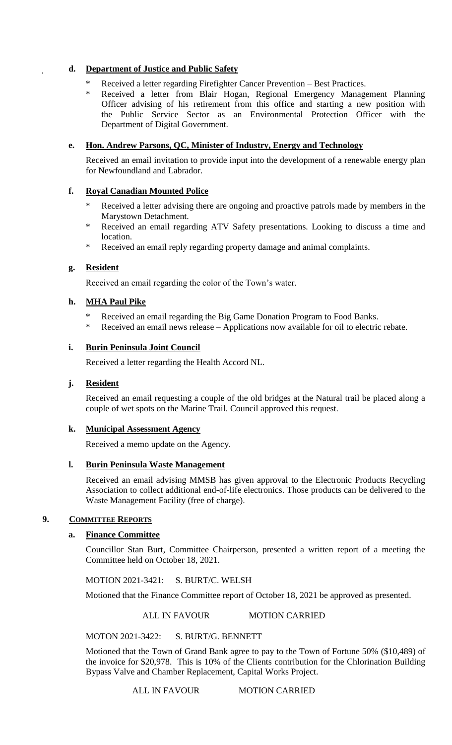## **d. Department of Justice and Public Safety**

- Received a letter regarding Firefighter Cancer Prevention Best Practices.
- \* Received a letter from Blair Hogan, Regional Emergency Management Planning Officer advising of his retirement from this office and starting a new position with the Public Service Sector as an Environmental Protection Officer with the Department of Digital Government.

## **e. Hon. Andrew Parsons, QC, Minister of Industry, Energy and Technology**

Received an email invitation to provide input into the development of a renewable energy plan for Newfoundland and Labrador.

## **f. Royal Canadian Mounted Police**

- \* Received a letter advising there are ongoing and proactive patrols made by members in the Marystown Detachment.
- \* Received an email regarding ATV Safety presentations. Looking to discuss a time and location.
- \* Received an email reply regarding property damage and animal complaints.

## **g. Resident**

Received an email regarding the color of the Town's water.

## **h. MHA Paul Pike**

- Received an email regarding the Big Game Donation Program to Food Banks.
- Received an email news release Applications now available for oil to electric rebate.

## **i. Burin Peninsula Joint Council**

Received a letter regarding the Health Accord NL.

#### **j. Resident**

Received an email requesting a couple of the old bridges at the Natural trail be placed along a couple of wet spots on the Marine Trail. Council approved this request.

#### **k. Municipal Assessment Agency**

Received a memo update on the Agency.

#### **l. Burin Peninsula Waste Management**

Received an email advising MMSB has given approval to the Electronic Products Recycling Association to collect additional end-of-life electronics. Those products can be delivered to the Waste Management Facility (free of charge).

#### **9. COMMITTEE REPORTS**

#### **a. Finance Committee**

Councillor Stan Burt, Committee Chairperson, presented a written report of a meeting the Committee held on October 18, 2021.

MOTION 2021-3421: S. BURT/C. WELSH

Motioned that the Finance Committee report of October 18, 2021 be approved as presented.

#### ALL IN FAVOUR MOTION CARRIED

MOTON 2021-3422: S. BURT/G. BENNETT

Motioned that the Town of Grand Bank agree to pay to the Town of Fortune 50% (\$10,489) of the invoice for \$20,978. This is 10% of the Clients contribution for the Chlorination Building Bypass Valve and Chamber Replacement, Capital Works Project.

#### ALL IN FAVOUR MOTION CARRIED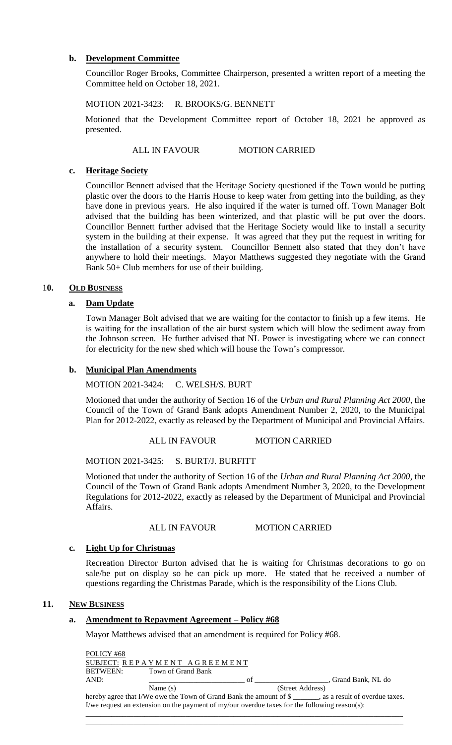### **b. Development Committee**

Councillor Roger Brooks, Committee Chairperson, presented a written report of a meeting the Committee held on October 18, 2021.

MOTION 2021-3423: R. BROOKS/G. BENNETT

Motioned that the Development Committee report of October 18, 2021 be approved as presented.

#### ALL IN FAVOUR MOTION CARRIED

#### **c. Heritage Society**

Councillor Bennett advised that the Heritage Society questioned if the Town would be putting plastic over the doors to the Harris House to keep water from getting into the building, as they have done in previous years. He also inquired if the water is turned off. Town Manager Bolt advised that the building has been winterized, and that plastic will be put over the doors. Councillor Bennett further advised that the Heritage Society would like to install a security system in the building at their expense. It was agreed that they put the request in writing for the installation of a security system. Councillor Bennett also stated that they don't have anywhere to hold their meetings. Mayor Matthews suggested they negotiate with the Grand Bank 50+ Club members for use of their building.

#### 1**0. OLD BUSINESS**

#### **a. Dam Update**

Town Manager Bolt advised that we are waiting for the contactor to finish up a few items. He is waiting for the installation of the air burst system which will blow the sediment away from the Johnson screen. He further advised that NL Power is investigating where we can connect for electricity for the new shed which will house the Town's compressor.

#### **b. Municipal Plan Amendments**

MOTION 2021-3424: C. WELSH/S. BURT

Motioned that under the authority of Section 16 of the *Urban and Rural Planning Act 2000*, the Council of the Town of Grand Bank adopts Amendment Number 2, 2020, to the Municipal Plan for 2012-2022, exactly as released by the Department of Municipal and Provincial Affairs.

#### ALL IN FAVOUR MOTION CARRIED

MOTION 2021-3425: S. BURT/J. BURFITT

Motioned that under the authority of Section 16 of the *Urban and Rural Planning Act 2000*, the Council of the Town of Grand Bank adopts Amendment Number 3, 2020, to the Development Regulations for 2012-2022, exactly as released by the Department of Municipal and Provincial Affairs.

#### ALL IN FAVOUR MOTION CARRIED

#### **c. Light Up for Christmas**

Recreation Director Burton advised that he is waiting for Christmas decorations to go on sale/be put on display so he can pick up more. He stated that he received a number of questions regarding the Christmas Parade, which is the responsibility of the Lions Club.

#### **11. NEW BUSINESS**

## **a. Amendment to Repayment Agreement – Policy #68**

Mayor Matthews advised that an amendment is required for Policy #68.

| POLICY #68      |                                                                           |                  |                             |
|-----------------|---------------------------------------------------------------------------|------------------|-----------------------------|
|                 | SUBJECT: REPAYMENT AGREEMENT                                              |                  |                             |
| <b>BETWEEN:</b> | Town of Grand Bank                                                        |                  |                             |
| AND:            |                                                                           | ΩŤ               | . Grand Bank. NL do         |
|                 | Name $(s)$                                                                | (Street Address) |                             |
|                 | hereby saree that $I/W$ e que the Town of Grand Rank the amount of $\ell$ |                  | se a recult of overdue taxe |

f overdue taxes. I/we request an extension on the payment of my/our overdue taxes for the following reason(s): \_\_\_\_\_\_\_\_\_\_\_\_\_\_\_\_\_\_\_\_\_\_\_\_\_\_\_\_\_\_\_\_\_\_\_\_\_\_\_\_\_\_\_\_\_\_\_\_\_\_\_\_\_\_\_\_\_\_\_\_\_\_\_\_\_\_\_\_\_\_\_\_\_\_\_\_\_\_\_\_\_\_\_\_\_\_

\_\_\_\_\_\_\_\_\_\_\_\_\_\_\_\_\_\_\_\_\_\_\_\_\_\_\_\_\_\_\_\_\_\_\_\_\_\_\_\_\_\_\_\_\_\_\_\_\_\_\_\_\_\_\_\_\_\_\_\_\_\_\_\_\_\_\_\_\_\_\_\_\_\_\_\_\_\_\_\_\_\_\_\_\_\_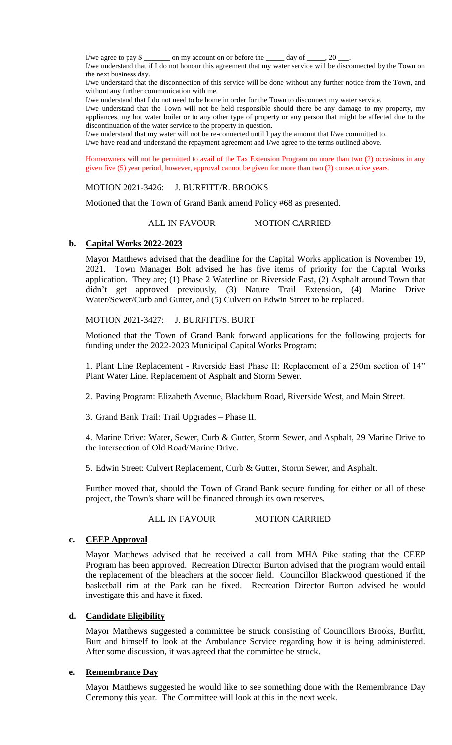I/we agree to pay \$ on my account on or before the  $\qquad \text{day of }$ , 20

I/we understand that if I do not honour this agreement that my water service will be disconnected by the Town on the next business day.

I/we understand that the disconnection of this service will be done without any further notice from the Town, and without any further communication with me.

I/we understand that I do not need to be home in order for the Town to disconnect my water service.

I/we understand that the Town will not be held responsible should there be any damage to my property, my appliances, my hot water boiler or to any other type of property or any person that might be affected due to the discontinuation of the water service to the property in question.

I/we understand that my water will not be re-connected until I pay the amount that I/we committed to. I/we have read and understand the repayment agreement and I/we agree to the terms outlined above.

Homeowners will not be permitted to avail of the Tax Extension Program on more than two (2) occasions in any given five (5) year period, however, approval cannot be given for more than two (2) consecutive years.

MOTION 2021-3426: J. BURFITT/R. BROOKS

Motioned that the Town of Grand Bank amend Policy #68 as presented.

#### ALL IN FAVOUR MOTION CARRIED

#### **b. Capital Works 2022-2023**

Mayor Matthews advised that the deadline for the Capital Works application is November 19, 2021. Town Manager Bolt advised he has five items of priority for the Capital Works application. They are; (1) Phase 2 Waterline on Riverside East, (2) Asphalt around Town that didn't get approved previously, (3) Nature Trail Extension, (4) Marine Drive Water/Sewer/Curb and Gutter, and (5) Culvert on Edwin Street to be replaced.

#### MOTION 2021-3427: J. BURFITT/S. BURT

Motioned that the Town of Grand Bank forward applications for the following projects for funding under the 2022-2023 Municipal Capital Works Program:

1. Plant Line Replacement - Riverside East Phase II: Replacement of a 250m section of 14" Plant Water Line. Replacement of Asphalt and Storm Sewer.

2. Paving Program: Elizabeth Avenue, Blackburn Road, Riverside West, and Main Street.

3. Grand Bank Trail: Trail Upgrades – Phase II.

4. Marine Drive: Water, Sewer, Curb & Gutter, Storm Sewer, and Asphalt, 29 Marine Drive to the intersection of Old Road/Marine Drive.

5. Edwin Street: Culvert Replacement, Curb & Gutter, Storm Sewer, and Asphalt.

Further moved that, should the Town of Grand Bank secure funding for either or all of these project, the Town's share will be financed through its own reserves.

ALL IN FAVOUR MOTION CARRIED

#### **c. CEEP Approval**

Mayor Matthews advised that he received a call from MHA Pike stating that the CEEP Program has been approved. Recreation Director Burton advised that the program would entail the replacement of the bleachers at the soccer field. Councillor Blackwood questioned if the basketball rim at the Park can be fixed. Recreation Director Burton advised he would investigate this and have it fixed.

#### **d. Candidate Eligibility**

Mayor Matthews suggested a committee be struck consisting of Councillors Brooks, Burfitt, Burt and himself to look at the Ambulance Service regarding how it is being administered. After some discussion, it was agreed that the committee be struck.

#### **e. Remembrance Day**

Mayor Matthews suggested he would like to see something done with the Remembrance Day Ceremony this year. The Committee will look at this in the next week.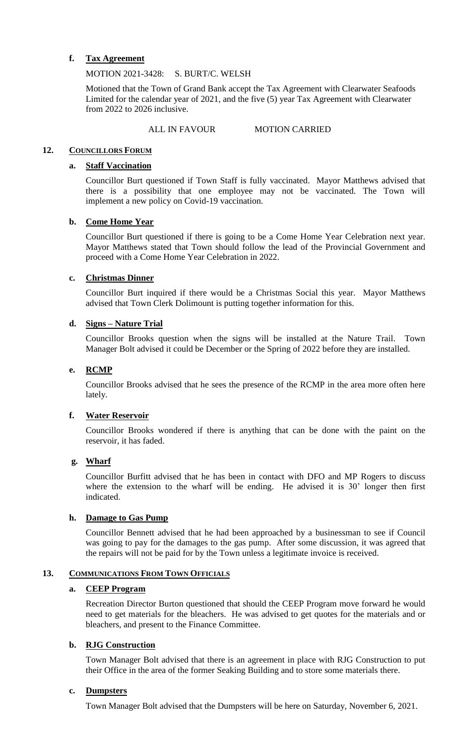## **f. Tax Agreement**

### MOTION 2021-3428: S. BURT/C. WELSH

Motioned that the Town of Grand Bank accept the Tax Agreement with Clearwater Seafoods Limited for the calendar year of 2021, and the five (5) year Tax Agreement with Clearwater from 2022 to 2026 inclusive.

## ALL IN FAVOUR MOTION CARRIED

### **12. COUNCILLORS FORUM**

### **a. Staff Vaccination**

Councillor Burt questioned if Town Staff is fully vaccinated. Mayor Matthews advised that there is a possibility that one employee may not be vaccinated. The Town will implement a new policy on Covid-19 vaccination.

## **b. Come Home Year**

Councillor Burt questioned if there is going to be a Come Home Year Celebration next year. Mayor Matthews stated that Town should follow the lead of the Provincial Government and proceed with a Come Home Year Celebration in 2022.

## **c. Christmas Dinner**

Councillor Burt inquired if there would be a Christmas Social this year. Mayor Matthews advised that Town Clerk Dolimount is putting together information for this.

## **d. Signs – Nature Trial**

Councillor Brooks question when the signs will be installed at the Nature Trail. Town Manager Bolt advised it could be December or the Spring of 2022 before they are installed.

## **e. RCMP**

Councillor Brooks advised that he sees the presence of the RCMP in the area more often here lately.

## **f. Water Reservoir**

Councillor Brooks wondered if there is anything that can be done with the paint on the reservoir, it has faded.

#### **g. Wharf**

Councillor Burfitt advised that he has been in contact with DFO and MP Rogers to discuss where the extension to the wharf will be ending. He advised it is 30' longer then first indicated.

#### **h. Damage to Gas Pump**

Councillor Bennett advised that he had been approached by a businessman to see if Council was going to pay for the damages to the gas pump. After some discussion, it was agreed that the repairs will not be paid for by the Town unless a legitimate invoice is received.

#### **13. COMMUNICATIONS FROM TOWN OFFICIALS**

#### **a. CEEP Program**

Recreation Director Burton questioned that should the CEEP Program move forward he would need to get materials for the bleachers. He was advised to get quotes for the materials and or bleachers, and present to the Finance Committee.

#### **b. RJG Construction**

Town Manager Bolt advised that there is an agreement in place with RJG Construction to put their Office in the area of the former Seaking Building and to store some materials there.

#### **c. Dumpsters**

Town Manager Bolt advised that the Dumpsters will be here on Saturday, November 6, 2021.